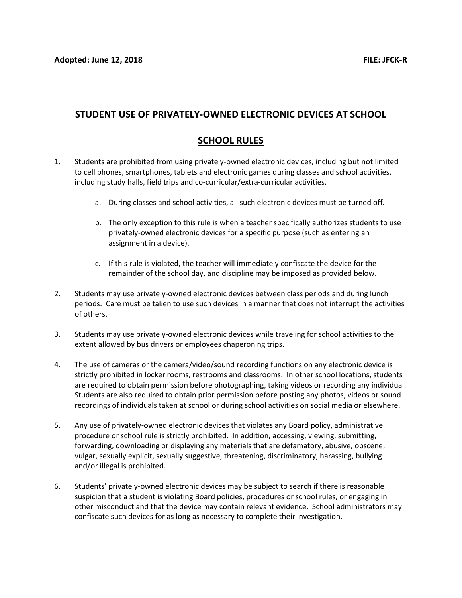## STUDENT USE OF PRIVATELY-OWNED ELECTRONIC DEVICES AT SCHOOL

## SCHOOL RULES

- 1. Students are prohibited from using privately-owned electronic devices, including but not limited to cell phones, smartphones, tablets and electronic games during classes and school activities, including study halls, field trips and co-curricular/extra-curricular activities.
	- a. During classes and school activities, all such electronic devices must be turned off.
	- b. The only exception to this rule is when a teacher specifically authorizes students to use privately-owned electronic devices for a specific purpose (such as entering an assignment in a device).
	- c. If this rule is violated, the teacher will immediately confiscate the device for the remainder of the school day, and discipline may be imposed as provided below.
- 2. Students may use privately-owned electronic devices between class periods and during lunch periods. Care must be taken to use such devices in a manner that does not interrupt the activities of others.
- 3. Students may use privately-owned electronic devices while traveling for school activities to the extent allowed by bus drivers or employees chaperoning trips.
- 4. The use of cameras or the camera/video/sound recording functions on any electronic device is strictly prohibited in locker rooms, restrooms and classrooms. In other school locations, students are required to obtain permission before photographing, taking videos or recording any individual. Students are also required to obtain prior permission before posting any photos, videos or sound recordings of individuals taken at school or during school activities on social media or elsewhere.
- 5. Any use of privately-owned electronic devices that violates any Board policy, administrative procedure or school rule is strictly prohibited. In addition, accessing, viewing, submitting, forwarding, downloading or displaying any materials that are defamatory, abusive, obscene, vulgar, sexually explicit, sexually suggestive, threatening, discriminatory, harassing, bullying and/or illegal is prohibited.
- 6. Students' privately-owned electronic devices may be subject to search if there is reasonable suspicion that a student is violating Board policies, procedures or school rules, or engaging in other misconduct and that the device may contain relevant evidence. School administrators may confiscate such devices for as long as necessary to complete their investigation.